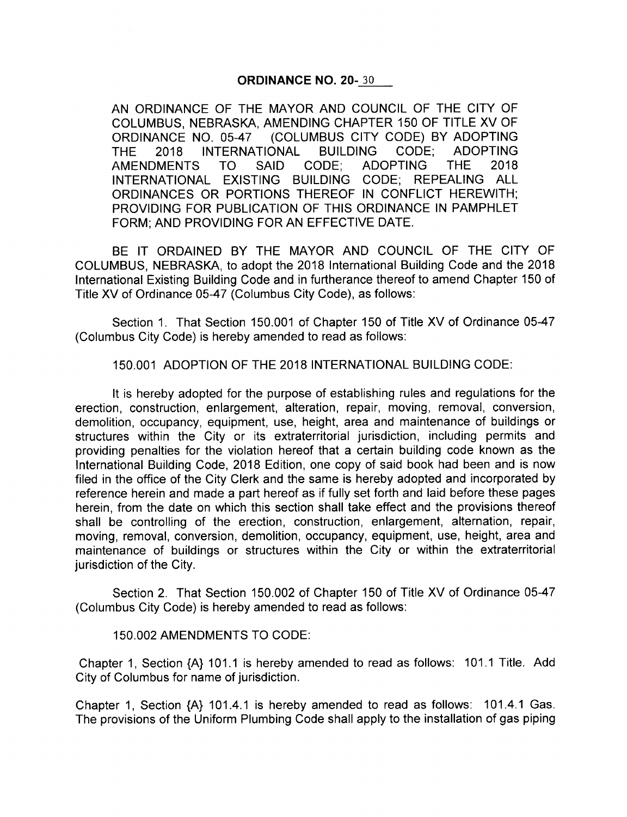## ORDINANCE NO. 20- 30

AN ORDINANCE OF THE MAYOR AND COUNCIL OF THE CITY OF COLUMBUS, NEBRASKA, AMENDING CHAPTER 150 OF TITLE XV OF ORDINANCE NO. 05-47 (COLUMBUS CITY CODE) BY ADOPTING THE 2018 INTERNATIONAL BUILDING CODE; ADOPTING AMENDMENTS TO SAID CODE; ADOPTING THE 2018 INTERNATIONAL EXISTING BUILDING CODE; REPEALING ALL ORDINANCES OR PORTIONS THEREOF IN CONFLICT HEREWITH; PROVIDING FOR PUBLICATION OF THIS ORDINANCE IN PAMPHLET FORM; AND PROVIDING FOR AN EFFECTIVE DATE.

BE IT ORDAINED BY THE MAYOR AND COUNCIL OF THE CITY OF COLUMBUS, NEBRASKA, to adopt the 2018 International Building Code and the 2018 International Existing Building Code and in furtherance thereof to amend Chapter 150 of Title XV of Ordinance 05-47 (Columbus City Code), as follows:

Section 1. That Section 150.001 of Chapter 150 of Title XV of Ordinance 05-47 Columbus City Code) is hereby amended to read as follows:

150. 001 ADOPTION OF THE 2018 INTERNATIONAL BUILDING CODE:

It is hereby adopted for the purpose of establishing rules and regulations for the erection, construction, enlargement, alteration, repair, moving, removal, conversion, demolition, occupancy, equipment, use, height, area and maintenance of buildings or structures within the City or its extraterritorial jurisdiction, including permits and providing penalties for the violation hereof that a certain building code known as the International Building Code, 2018 Edition, one copy of said book had been and is now filed in the office of the City Clerk and the same is hereby adopted and incorporated by reference herein and made a part hereof as if fully set forth and laid before these pages herein, from the date on which this section shall take effect and the provisions thereof shall be controlling of the erection, construction, enlargement, alternation, repair, moving, removal, conversion, demolition, occupancy, equipment, use, height, area and maintenance of buildings or structures within the City or within the extraterritorial jurisdiction of the City.

Section 2. That Section 150.002 of Chapter 150 of Title XV of Ordinance 05-47 Columbus City Code) is hereby amended to read as follows:

## 150. 002 AMENDMENTS TO CODE:

Chapter 1, Section  ${A}$  101.1 is hereby amended to read as follows: 101.1 Title. Add City of Columbus for name of jurisdiction.

Chapter 1, Section  ${A}$  101.4.1 is hereby amended to read as follows: 101.4.1 Gas. The provisions of the Uniform Plumbing Code shall apply to the installation of gas piping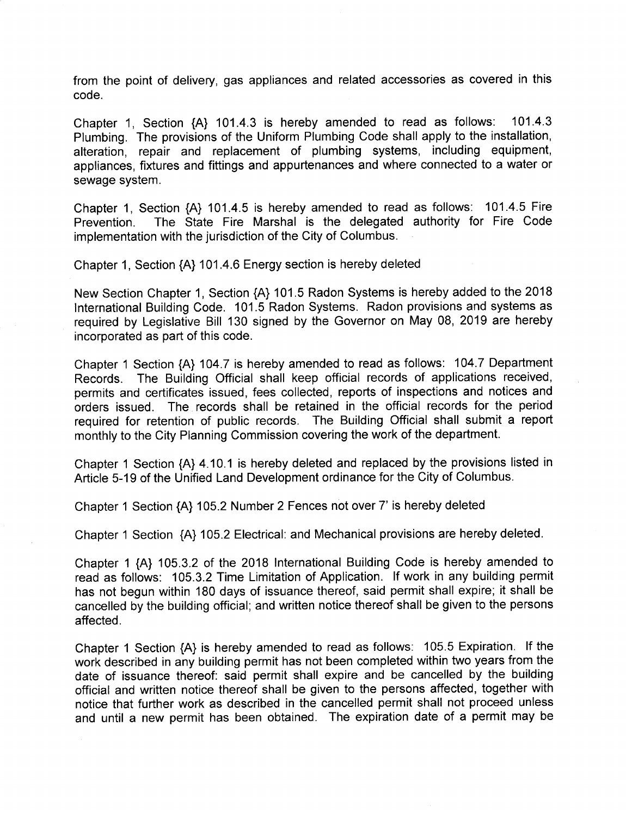from the point of delivery, gas appliances and related accessories as covered in this code.

Chapter 1, Section {A} 101.4.3 is hereby amended to read as follows: 101.4.3 Plumbing. The provisions of the Uniform Plumbing Code shall apply to the installation, alteration, repair and replacement of plumbing systems, including equipment, appliances, fixtures and fittings and appurtenances and where connected to a water or sewage system.

Chapter 1, Section  $\{A\}$  101.4.5 is hereby amended to read as follows: 101.4.5 Fire<br>Prevention. The State Fire Marshal is the delegated authority for Fire Code The State Fire Marshal is the delegated authority for Fire Code implementation with the jurisdiction of the City of Columbus.

Chapter 1, Section { A} 101. 4. 6 Energy section is hereby deleted

New Section Chapter 1, Section { A} 101. 5 Radon Systems is hereby added to the 2018 International Building Code. 101. <sup>5</sup> Radon Systems. Radon provisions and systems as required by Legislative Bill 130 signed by the Governor on May 08, 2019 are hereby incorporated as part of this code.

Chapter 1 Section {A} 104.7 is hereby amended to read as follows: 104.7 Department Records. The Building Official shall keep official records of applications received, permits and certificates issued, fees collected, reports of inspections and notices and orders issued. The records shall be retained in the official records for the period required for retention of public records. The Building Official shall submit a report monthly to the City Planning Commission covering the work of the department.

Chapter 1 Section {A} 4.10.1 is hereby deleted and replaced by the provisions listed in Article 5- 19 of the Unified Land Development ordinance for the City of Columbus.

Chapter <sup>1</sup> Section { A} 105. 2 Number 2 Fences not over 7' is hereby deleted

Chapter 1 Section {A} 105.2 Electrical: and Mechanical provisions are hereby deleted.

Chapter 1 { A} 105. 3. 2 of the 2018 International Building Code is hereby amended to read as follows: 105.3.2 Time Limitation of Application. If work in any building permit has not begun within 180 days of issuance thereof, said permit shall expire; it shall be cancelled by the building official; and written notice thereof shall be given to the persons affected.

Chapter <sup>1</sup> Section { A} is hereby amended to read as follows: 105. <sup>5</sup> Expiration. If the work described in any building permit has not been completed within two years from the date of issuance thereof: said permit shall expire and be cancelled by the building official and written notice thereof shall be given to the persons affected, together with notice that further work as described in the cancelled permit shall not proceed unless and until <sup>a</sup> new permit has been obtained. The expiration date of <sup>a</sup> permit may be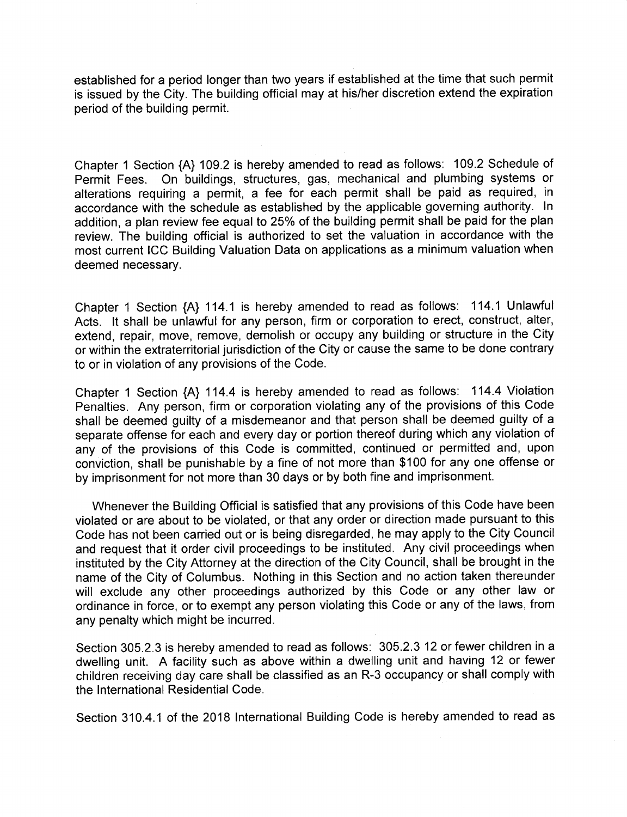established for a period longer than two years if established at the time that such permit is issued by the City. The building official may at his/her discretion extend the expiration period of the building permit.

Chapter 1 Section {A} 109.2 is hereby amended to read as follows: 109.2 Schedule of Permit Fees. On buildings, structures, gas, mechanical and plumbing systems or alterations requiring <sup>a</sup> permit, a fee for each permit shall be paid as required, in accordance with the schedule as established by the applicable governing authority. In addition, a plan review fee equal to 25% of the building permit shall be paid for the plan review. The building official is authorized to set the valuation in accordance with the most current ICC Building Valuation Data on applications as a minimum valuation when deemed necessary.

Chapter 1 Section {A} 114.1 is hereby amended to read as follows: 114.1 Unlawful Acts. It shall be unlawful for any person, firm or corporation to erect, construct, alter, extend, repair, move, remove, demolish or occupy any building or structure in the City or within the extraterritorial jurisdiction of the City or cause the same to be done contrary to or in violation of any provisions of the Code.

Chapter 1 Section {A} 114.4 is hereby amended to read as follows: 114.4 Violation Penalties. Any person, firm or corporation violating any of the provisions of this Code shall be deemed guilty of a misdemeanor and that person shall be deemed guilty of a separate offense for each and every day or portion thereof during which any violation of any of the provisions of this Code is committed, continued or permitted and, upon conviction, shall be punishable by <sup>a</sup> fine of not more than \$ 100 for any one offense or by imprisonment for not more than 30 days or by both fine and imprisonment.

Whenever the Building Official is satisfied that any provisions of this Code have been violated or are about to be violated, or that any order or direction made pursuant to this Code has not been carried out or is being disregarded, he may apply to the City Council and request that it order civil proceedings to be instituted. Any civil proceedings when instituted by the City Attorney at the direction of the City Council, shall be brought in the name of the City of Columbus. Nothing in this Section and no action taken thereunder will exclude any other proceedings authorized by this Code or any other law or ordinance in force, or to exempt any person violating this Code or any of the laws, from any penalty which might be incurred.

Section 305.2.3 is hereby amended to read as follows: 305.2.3 12 or fewer children in a dwelling unit. A facility such as above within a dwelling unit and having 12 or fewer children receiving day care shall be classified as an R- 3 occupancy or shall comply with the International Residential Code.

Section 310.4.1 of the 2018 International Building Code is hereby amended to read as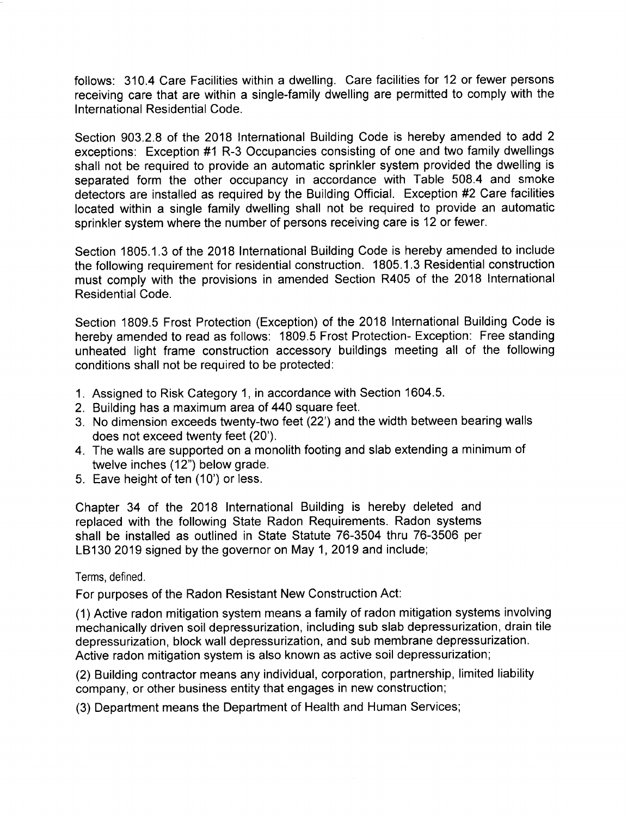follows: 310.4 Care Facilities within a dwelling. Care facilities for 12 or fewer persons receiving care that are within a single-family dwelling are permitted to comply with the International Residential Code.

Section 903.2.8 of the 2018 International Building Code is hereby amended to add 2 exceptions: Exception #1 R-3 Occupancies consisting of one and two family dwellings shall not be required to provide an automatic sprinkler system provided the dwelling is separated form the other occupancy in accordance with Table 508.4 and smoke detectors are installed as required by the Building Official. Exception #2 Care facilities located within a single family dwelling shall not be required to provide an automatic sprinkler system where the number of persons receiving care is 12 or fewer.

Section 1805. 1. 3 of the 2018 International Building Code is hereby amended to include the following requirement for residential construction. 1805. 1. <sup>3</sup> Residential construction must comply with the provisions in amended Section R405 of the 2018 International Residential Code.

Section 1809.5 Frost Protection (Exception) of the 2018 International Building Code is hereby amended to read as follows: 1809.5 Frost Protection- Exception: Free standing unheated light frame construction accessory buildings meeting all of the following conditions shall not be required to be protected:

- 1. Assigned to Risk Category 1, in accordance with Section 1604. 5.
- 2. Building has a maximum area of 440 square feet.
- 3. No dimension exceeds twenty- two feet ( 22') and the width between bearing walls does not exceed twenty feet (20').
- 4. The walls are supported on a monolith footing and slab extending a minimum of twelve inches (12") below grade.
- 5. Eave height of ten ( 10') or less.

Chapter 34 of the 2018 International Building is hereby deleted and replaced with the following State Radon Requirements. Radon systems shall be installed as outlined in State Statute 76-3504 thru 76-3506 per LB130 2019 signed by the governor on May 1, 2019 and include;

## Terms, defined.

For purposes of the Radon Resistant New Construction Act:

1) Active radon mitigation system means a family of radon mitigation systems involving mechanically driven soil depressurization, including sub slab depressurization, drain tile depressurization, block wall depressurization, and sub membrane depressurization. Active radon mitigation system is also known as active soil depressurization;

2) Building contractor means any individual, corporation, partnership, limited liability company, or other business entity that engages in new construction;

3) Department means the Department of Health and Human Services;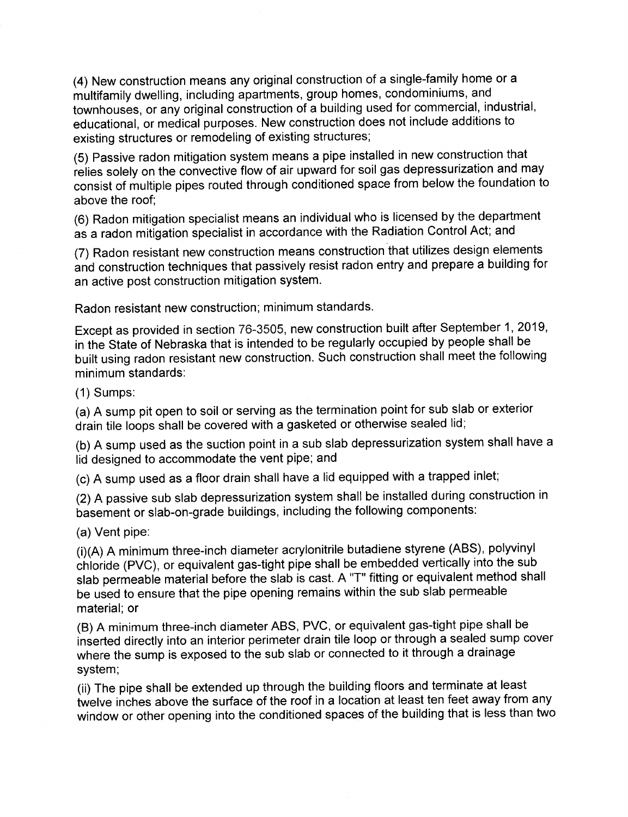4) New construction means any original construction of a single- family home or a multifamily dwelling, including apartments, group homes, condominiums, and townhouses, or any original construction of a building used for commercial, industrial, educational, or medical purposes. New construction does not include additions to existing structures or remodeling of existing structures;

5) Passive radon mitigation system means a pipe installed in new construction that relies solely on the convective flow of air upward for soil gas depressurization and may consist of multiple pipes routed through conditioned space from below the foundation to above the roof;

6) Radon mitigation specialist means an individual who is licensed by the department as a radon mitigation specialist in accordance with the Radiation Control Act; and

7) Radon resistant new construction means construction that utilizes design elements and construction techniques that passively resist radon entry and prepare a building for an active post construction mitigation system.

Radon resistant new construction; minimum standards.

Except as provided in section 76-3505, new construction built after September 1, 2019, in the State of Nebraska that is intended to be regularly occupied by people shall be built using radon resistant new construction. Such construction shall meet the following minimum standards:

 $(1)$  Sumps:

a) A sump pit open to soil or serving as the termination point for sub slab or exterior drain tile loops shall be covered with a gasketed or otherwise sealed lid;

b) A sump used as the suction point in a sub slab depressurization system shall have a lid designed to accommodate the vent pipe; and

c) A sump used as a floor drain shall have a lid equipped with a trapped inlet;

2) A passive sub slab depressurization system shall be installed during construction in basement or slab-on-grade buildings, including the following components:

a) Vent pipe:

(i)(A) A minimum three-inch diameter acrylonitrile butadiene styrene (ABS), polyvinyl chloride ( PVC), or equivalent gas-tight pipe shall be embedded vertically into the sub slab permeable material before the slab is cast. A "T" fitting or equivalent method shall be used to ensure that the pipe opening remains within the sub slab permeable material; or

B) A minimum three- inch diameter ABS, PVC, or equivalent gas- tight pipe shall be inserted directly into an interior perimeter drain tile loop or through a sealed sump cover where the sump is exposed to the sub slab or connected to it through a drainage system;

ii) The pipe shall be extended up through the building floors and terminate at least twelve inches above the surface of the roof in a location at least ten feet away from any window or other opening into the conditioned spaces of the building that is less than two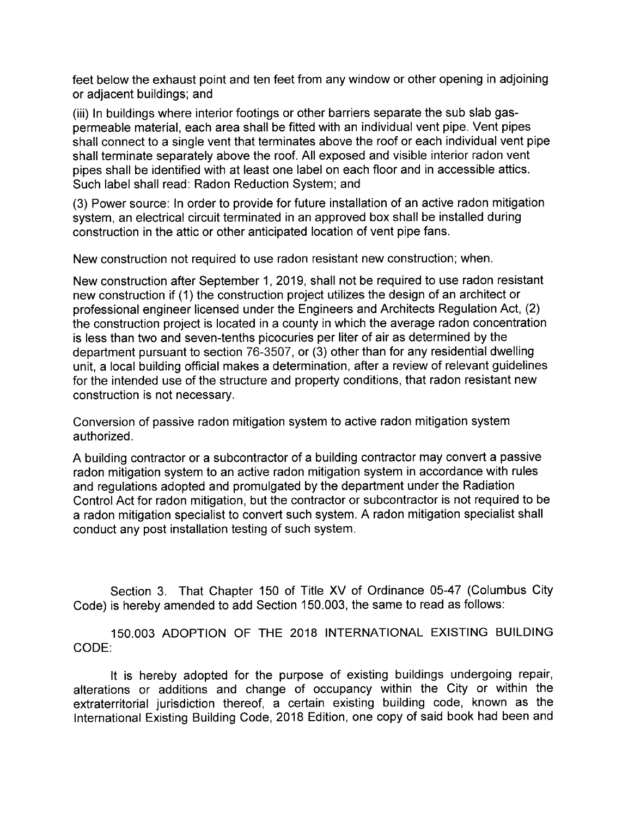feet below the exhaust point and ten feet from any window or other opening in adjoining or adjacent buildings; and

(iii) In buildings where interior footings or other barriers separate the sub slab gaspermeable material, each area shall be fitted with an individual vent pipe. Vent pipes shall connect to a single vent that terminates above the roof or each individual vent pipe shall terminate separately above the roof. All exposed and visible interior radon vent pipes shall be identified with at least one label on each floor and in accessible attics. Such label shall read: Radon Reduction System; and

3) Power source: In order to provide for future installation of an active radon mitigation system, an electrical circuit terminated in an approved box shall be installed during construction in the attic or other anticipated location of vent pipe fans.

New construction not required to use radon resistant new construction; when.

New construction after September 1, 2019, shall not be required to use radon resistant new construction if ( 1) the construction project utilizes the design of an architect or professional engineer licensed under the Engineers and Architects Regulation Act, (2) the construction project is located in a county in which the average radon concentration is less than two and seven-tenths picocuries per liter of air as determined by the department pursuant to section 76-3507, or (3) other than for any residential dwelling unit, a local building official makes a determination, after a review of relevant guidelines for the intended use of the structure and property conditions, that radon resistant new construction is not necessary.

Conversion of passive radon mitigation system to active radon mitigation system authorized.

A building contractor or a subcontractor of a building contractor may convert a passive radon mitigation system to an active radon mitigation system in accordance with rules and regulations adopted and promulgated by the department under the Radiation Control Act for radon mitigation, but the contractor or subcontractor is not required to be a radon mitigation specialist to convert such system. A radon mitigation specialist shall conduct any post installation testing of such system.

Section 3. That Chapter 150 of Title XV of Ordinance 05-47 (Columbus City Code) is hereby amended to add Section 150. 003, the same to read as follows:

150. 003 ADOPTION OF THE 2018 INTERNATIONAL EXISTING BUILDING CODE:

It is hereby adopted for the purpose of existing buildings undergoing repair, alterations or additions and change of occupancy within the City or within the extraterritorial jurisdiction thereof, <sup>a</sup> certain existing building code, known as the International Existing Building Code, 2018 Edition, one copy of said book had been and